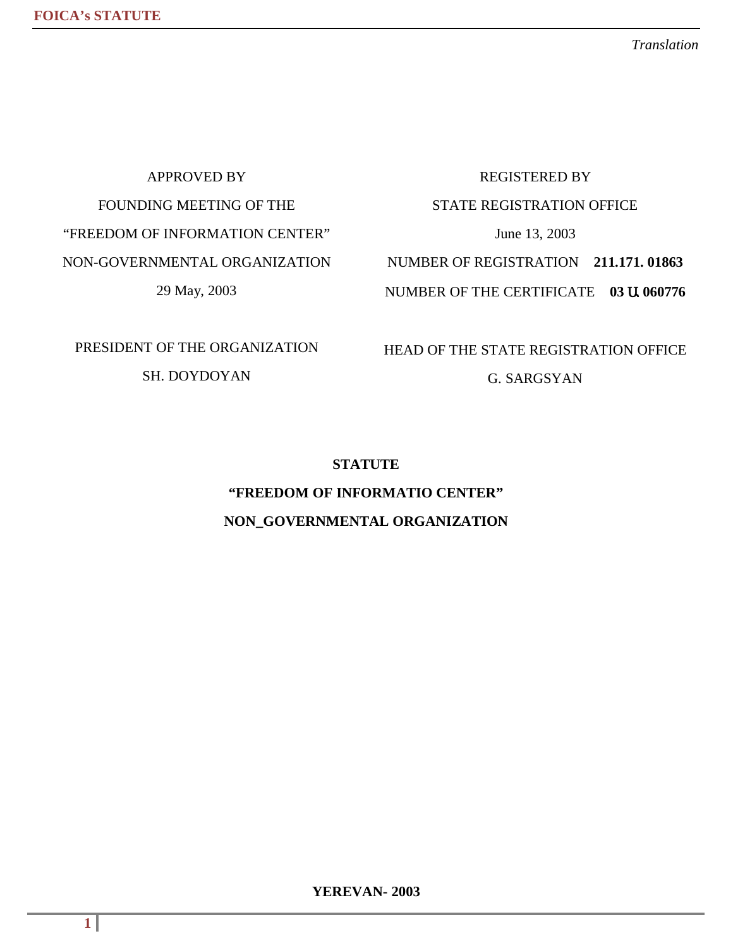*Translation*

APPROVED BY FOUNDING MEETING OF THE "FREEDOM OF INFORMATION CENTER" NON-GOVERNMENTAL ORGANIZATION 29 May, 2003

# REGISTERED BY STATE REGISTRATION OFFICE June 13, 2003 NUMBER OF REGISTRATION **211.171. 01863** NUMBER OF THE CERTIFICATE **03** Ա **060776**

PRESIDENT OF THE ORGANIZATION SH. DOYDOYAN

HEAD OF THE STATE REGISTRATION OFFICE

G. SARGSYAN

#### **STATUTE**

# **"FREEDOM OF INFORMATIO CENTER" NON\_GOVERNMENTAL ORGANIZATION**

**YEREVAN- 2003**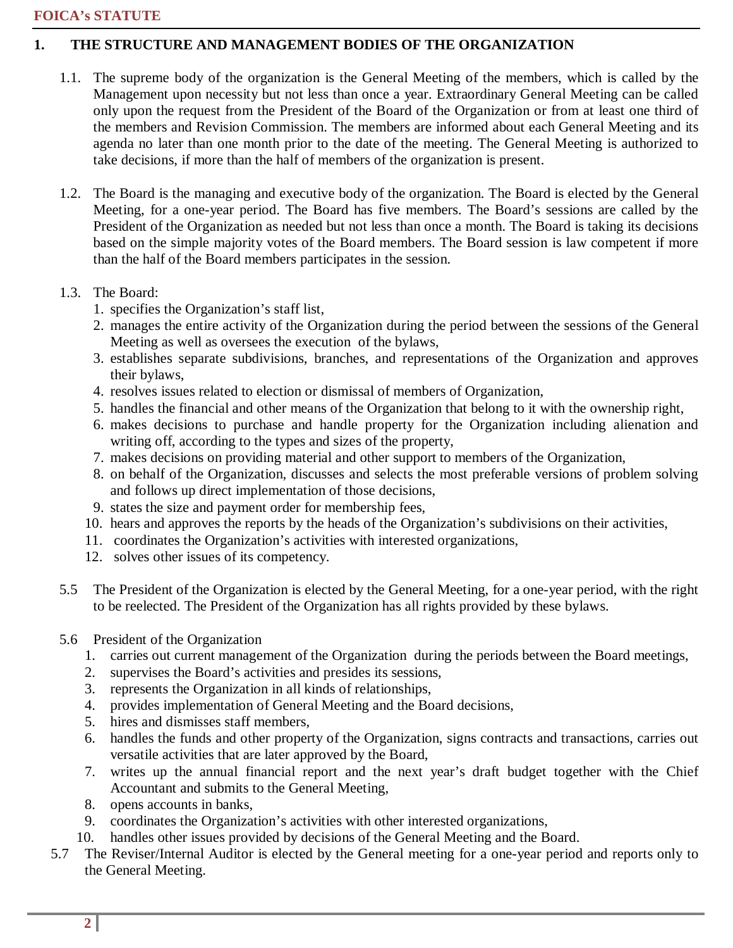### **1. THE STRUCTURE AND MANAGEMENT BODIES OF THE ORGANIZATION**

- 1.1. The supreme body of the organization is the General Meeting of the members, which is called by the Management upon necessity but not less than once a year. Extraordinary General Meeting can be called only upon the request from the President of the Board of the Organization or from at least one third of the members and Revision Commission. The members are informed about each General Meeting and its agenda no later than one month prior to the date of the meeting. The General Meeting is authorized to take decisions, if more than the half of members of the organization is present.
- 1.2. The Board is the managing and executive body of the organization. The Board is elected by the General Meeting, for a one-year period. The Board has five members. The Board's sessions are called by the President of the Organization as needed but not less than once a month. The Board is taking its decisions based on the simple majority votes of the Board members. The Board session is law competent if more than the half of the Board members participates in the session.
- 1.3. The Board:
	- 1. specifies the Organization's staff list,
	- 2. manages the entire activity of the Organization during the period between the sessions of the General Meeting as well as oversees the execution of the bylaws,
	- 3. establishes separate subdivisions, branches, and representations of the Organization and approves their bylaws,
	- 4. resolves issues related to election or dismissal of members of Organization,
	- 5. handles the financial and other means of the Organization that belong to it with the ownership right,
	- 6. makes decisions to purchase and handle property for the Organization including alienation and writing off, according to the types and sizes of the property,
	- 7. makes decisions on providing material and other support to members of the Organization,
	- 8. on behalf of the Organization, discusses and selects the most preferable versions of problem solving and follows up direct implementation of those decisions,
	- 9. states the size and payment order for membership fees,
	- 10. hears and approves the reports by the heads of the Organization's subdivisions on their activities,
	- 11. coordinates the Organization's activities with interested organizations,
	- 12. solves other issues of its competency.
- 5.5 The President of the Organization is elected by the General Meeting, for a one-year period, with the right to be reelected. The President of the Organization has all rights provided by these bylaws.
- 5.6 President of the Organization
	- 1. carries out current management of the Organization during the periods between the Board meetings,
	- 2. supervises the Board's activities and presides its sessions,
	- 3. represents the Organization in all kinds of relationships,
	- 4. provides implementation of General Meeting and the Board decisions,
	- 5. hires and dismisses staff members,
	- 6. handles the funds and other property of the Organization, signs contracts and transactions, carries out versatile activities that are later approved by the Board,
	- 7. writes up the annual financial report and the next year's draft budget together with the Chief Accountant and submits to the General Meeting,
	- 8. opens accounts in banks,
	- 9. coordinates the Organization's activities with other interested organizations,
	- 10. handles other issues provided by decisions of the General Meeting and the Board.
- 5.7 The Reviser/Internal Auditor is elected by the General meeting for a one-year period and reports only to the General Meeting.